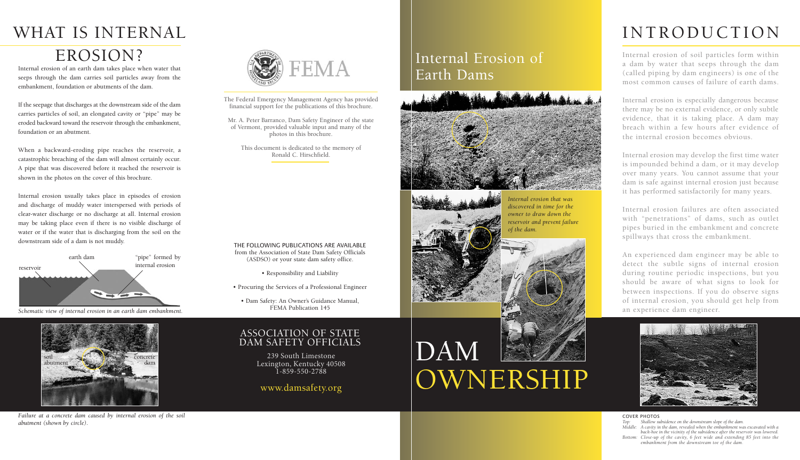# DAM OWNERSHIP

### Internal Erosion of Earth Dams



## INTRODUCTION

Internal erosion of soil particles form within a dam by water that seeps through the dam (called piping by dam engineers) is one of the most common causes of failure of earth dams.

Internal erosion is especially dangerous because there may be no external evidence, or only subtle evidence, that it is taking place. A dam may breach within a few hours after evidence of the internal erosion becomes obvious.

Internal erosion may develop the first time water is impounded behind a dam, or it may develop over many years. You cannot assume that your dam is safe against internal erosion just because it has performed satisfactorily for many years.

Internal erosion failures are often associated with "penetrations" of dams, such as outlet pipes buried in the embankment and concrete spillways that cross the embankment.

An experienced dam engineer may be able to detect the subtle signs of internal erosion during routine periodic inspections, but you should be aware of what signs to look for between inspections. If you do observe signs of internal erosion, you should get help from an experience dam engineer.



# WHAT IS INTERNAL

### EROSION?

Internal erosion of an earth dam takes place when water that seeps through the dam carries soil particles away from the embankment, foundation or abutments of the dam.

If the seepage that discharges at the downstream side of the dam carries particles of soil, an elongated cavity or "pipe" may be eroded backward toward the reservoir through the embankment, foundation or an abutment.

When a backward-eroding pipe reaches the reservoir, a catastrophic breaching of the dam will almost certainly occur. A pipe that was discovered before it reached the reservoir is shown in the photos on the cover of this brochure.

Internal erosion usually takes place in episodes of erosion and discharge of muddy water interspersed with periods of clear-water discharge or no discharge at all. Internal erosion may be taking place even if there is no visible discharge of water or if the water that is discharging from the soil on the downstream side of a dam is not muddy.

### ASSOCIATION OF STATE DAM SAFETY OFFICIALS

239 South Limestone Lexington, Kentucky 40508 1-859-550-2788

### www.damsafety.org

*Internal erosion that was discovered in time for the owner to draw down the reservoir and prevent failure*



The Federal Emergency Management Agency has provided financial support for the publications of this brochure.

Mr. A. Peter Barranco, Dam Safety Engineer of the state of Vermont, provided valuable input and many of the photos in this brochure.

This document is dedicated to the memory of Ronald C. Hirschfield.

*Schematic view of internal erosion in an earth dam embankment.*





*Failure at a concrete dam caused by internal erosion of the soil abutment (shown by circle).*



#### THE FOLLOWING PUBLICATIONS ARE AVAILABLE from the Association of State Dam Safety Officials (ASDSO) or your state dam safety office.

- Responsibility and Liability
- Procuring the Services of a Professional Engineer
- Dam Safety: An Owner's Guidance Manual, FEMA Publication 145

#### COVER PHOTOS

*Top: Shallow subsidence on the downstream slope of the dam. Middle: A cavity in the dam, revealed when the embankment was excavated with a back-hoe in the vicinity of the subsidence after the reservoir was lowered. Bottom: Close-up of the cavity, 6 feet wide and extending 85 feet into the embankment from the downstream toe of the dam.*